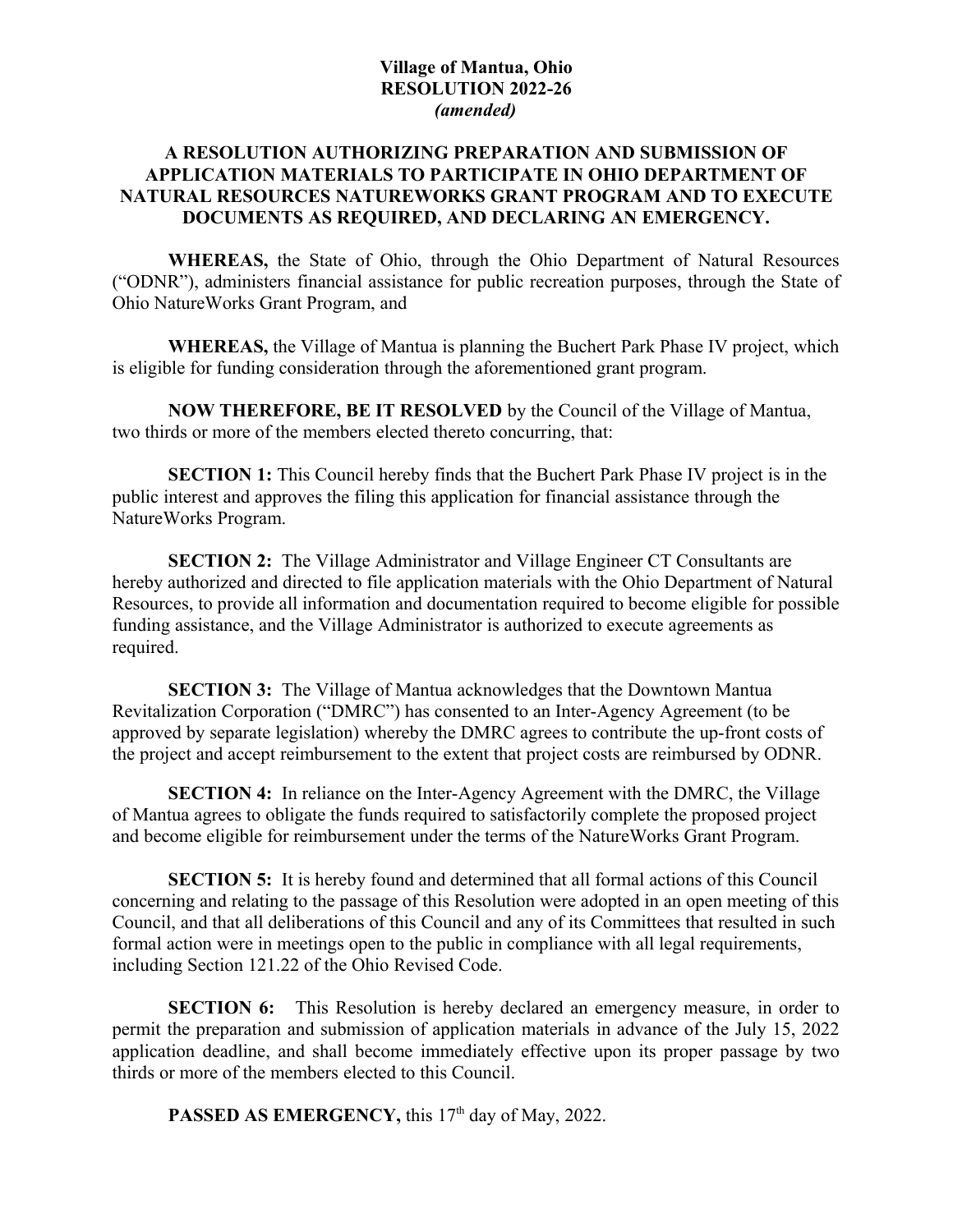## **Village of Mantua, Ohio RESOLUTION 2022-26** *(amended)*

## **A RESOLUTION AUTHORIZING PREPARATION AND SUBMISSION OF APPLICATION MATERIALS TO PARTICIPATE IN OHIO DEPARTMENT OF NATURAL RESOURCES NATUREWORKS GRANT PROGRAM AND TO EXECUTE DOCUMENTS AS REQUIRED, AND DECLARING AN EMERGENCY.**

**WHEREAS,** the State of Ohio, through the Ohio Department of Natural Resources ("ODNR"), administers financial assistance for public recreation purposes, through the State of Ohio NatureWorks Grant Program, and

**WHEREAS,** the Village of Mantua is planning the Buchert Park Phase IV project, which is eligible for funding consideration through the aforementioned grant program.

**NOW THEREFORE, BE IT RESOLVED** by the Council of the Village of Mantua, two thirds or more of the members elected thereto concurring, that:

**SECTION 1:** This Council hereby finds that the Buchert Park Phase IV project is in the public interest and approves the filing this application for financial assistance through the NatureWorks Program.

**SECTION 2:** The Village Administrator and Village Engineer CT Consultants are hereby authorized and directed to file application materials with the Ohio Department of Natural Resources, to provide all information and documentation required to become eligible for possible funding assistance, and the Village Administrator is authorized to execute agreements as required.

**SECTION 3:** The Village of Mantua acknowledges that the Downtown Mantua Revitalization Corporation ("DMRC") has consented to an Inter-Agency Agreement (to be approved by separate legislation) whereby the DMRC agrees to contribute the up-front costs of the project and accept reimbursement to the extent that project costs are reimbursed by ODNR.

**SECTION 4:** In reliance on the Inter-Agency Agreement with the DMRC, the Village of Mantua agrees to obligate the funds required to satisfactorily complete the proposed project and become eligible for reimbursement under the terms of the NatureWorks Grant Program.

**SECTION 5:** It is hereby found and determined that all formal actions of this Council concerning and relating to the passage of this Resolution were adopted in an open meeting of this Council, and that all deliberations of this Council and any of its Committees that resulted in such formal action were in meetings open to the public in compliance with all legal requirements, including Section 121.22 of the Ohio Revised Code.

**SECTION 6:** This Resolution is hereby declared an emergency measure, in order to permit the preparation and submission of application materials in advance of the July 15, 2022 application deadline, and shall become immediately effective upon its proper passage by two thirds or more of the members elected to this Council.

**PASSED AS EMERGENCY, this 17<sup>th</sup> day of May, 2022.**